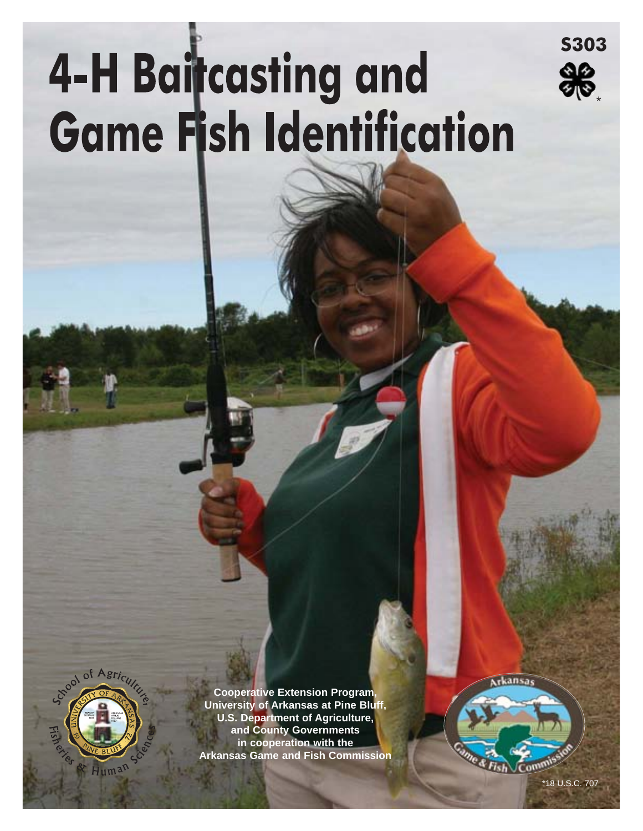# **4-H Baitcasting and Game Fish Identification**



**Cooperative Extension Program, University of Arkansas at Pine Bluff, U.S. Department of Agriculture, and County Governments in cooperation with the** l **Arkansas Game and Fish Commission** rkansa

**S303** 

\*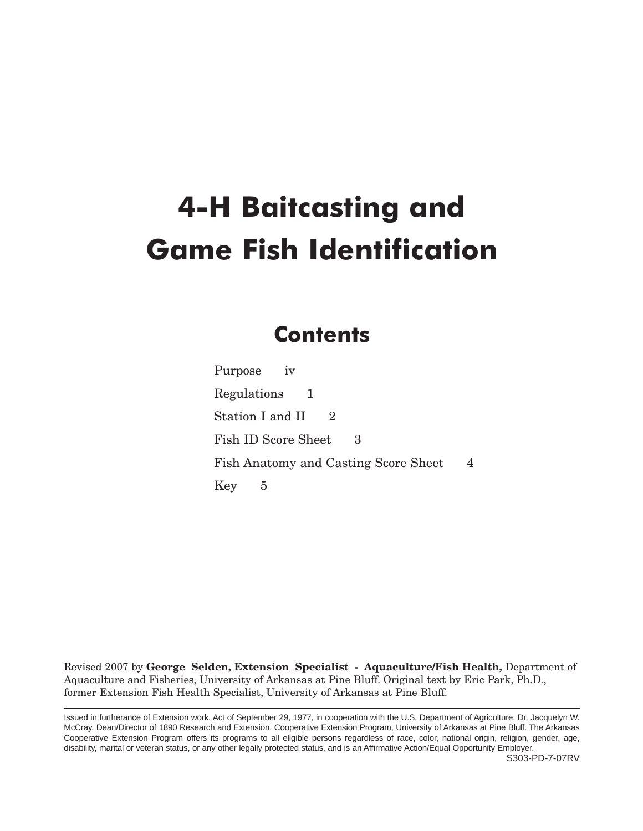# **4-H Baitcasting and Game Fish Identification**

# **Contents**

Purpose iv [Regulations 1](#page-3-0) [Station I and II 2](#page-4-0) Fish ID Score Sheet 3 [Fish Anatomy and Casting Score Sheet 4](#page-6-0) Key 5

Revised 2007 by **George Selden, Extension Specialist - Aquaculture/Fish Health,** Department of Aquaculture and Fisheries, University of Arkansas at Pine Bluff. Original text by Eric Park, Ph.D., former Extension Fish Health Specialist, University of Arkansas at Pine Bluff.

Issued in furtherance of Extension work, Act of September 29, 1977, in cooperation with the U.S. Department of Agriculture, Dr. Jacquelyn W. McCray, Dean/Director of 1890 Research and Extension, Cooperative Extension Program, University of Arkansas at Pine Bluff. The Arkansas Cooperative Extension Program offers its programs to all eligible persons regardless of race, color, national origin, religion, gender, age, disability, marital or veteran status, or any other legally protected status, and is an Affirmative Action/Equal Opportunity Employer.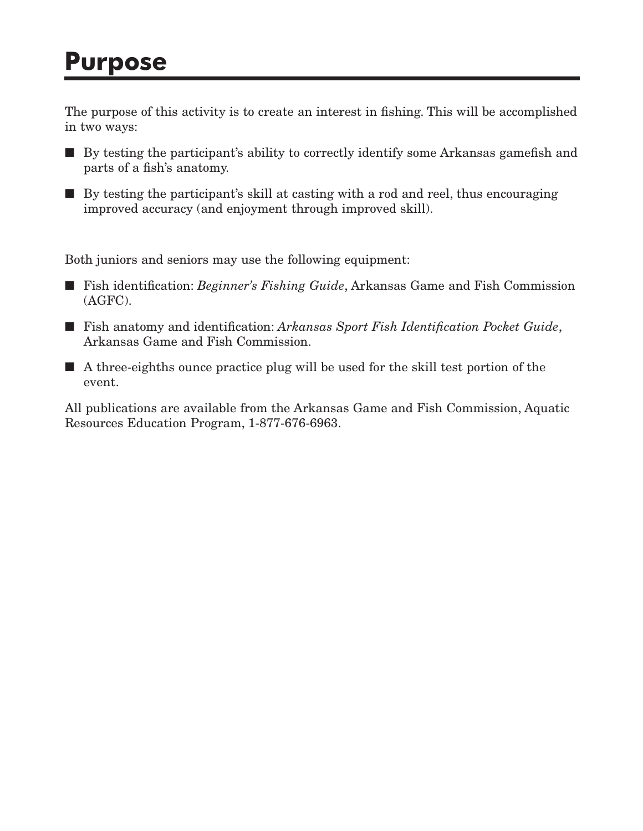# **Purpose**

The purpose of this activity is to create an interest in fishing. This will be accomplished in two ways:

- By testing the participant's ability to correctly identify some Arkansas gamefish and parts of a fish's anatomy.
- By testing the participant's skill at casting with a rod and reel, thus encouraging improved accuracy (and enjoyment through improved skill).

Both juniors and seniors may use the following equipment:

- Fish identification: *Beginner's Fishing Guide*, Arkansas Game and Fish Commission (AGFC).
- Fish anatomy and identification: *Arkansas Sport Fish Identification Pocket Guide*, Arkansas Game and Fish Commission.
- $\blacksquare$  A three-eighths ounce practice plug will be used for the skill test portion of the event.

All publications are available from the Arkansas Game and Fish Commission, Aquatic Resources Education Program, 1-877-676-6963.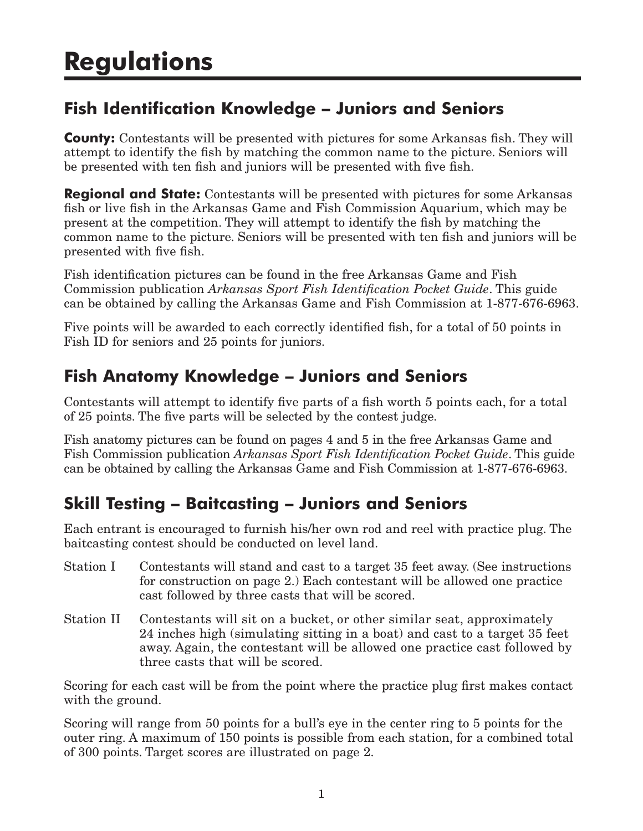# <span id="page-3-0"></span>**Fish Identification Knowledge – Juniors and Seniors**

**County:** Contestants will be presented with pictures for some Arkansas fish. They will attempt to identify the fish by matching the common name to the picture. Seniors will be presented with ten fish and juniors will be presented with five fish.

**Regional and State:** Contestants will be presented with pictures for some Arkansas fish or live fish in the Arkansas Game and Fish Commission Aquarium, which may be present at the competition. They will attempt to identify the fish by matching the common name to the picture. Seniors will be presented with ten fish and juniors will be presented with five fish.

Fish identification pictures can be found in the free Arkansas Game and Fish Commission publication *Arkansas Sport Fish Identification Pocket Guide*. This guide can be obtained by calling the Arkansas Game and Fish Commission at 1-877-676-6963.

Five points will be awarded to each correctly identified fish, for a total of 50 points in Fish ID for seniors and 25 points for juniors.

# **Fish Anatomy Knowledge – Juniors and Seniors**

Contestants will attempt to identify five parts of a fish worth 5 points each, for a total of 25 points. The five parts will be selected by the contest judge.

Fish anatomy pictures can be found on pages 4 and 5 in the free Arkansas Game and Fish Commission publication *Arkansas Sport Fish Identification Pocket Guide*. This guide can be obtained by calling the Arkansas Game and Fish Commission at 1-877-676-6963.

# **Skill Testing – Baitcasting – Juniors and Seniors**

Each entrant is encouraged to furnish his/her own rod and reel with practice plug. The baitcasting contest should be conducted on level land.

- Station I Contestants will stand and cast to a target 35 feet away. (See instructions for construction on page 2.) Each contestant will be allowed one practice cast followed by three casts that will be scored.
- Station II Contestants will sit on a bucket, or other similar seat, approximately 24 inches high (simulating sitting in a boat) and cast to a target 35 feet away. Again, the contestant will be allowed one practice cast followed by three casts that will be scored.

Scoring for each cast will be from the point where the practice plug first makes contact with the ground.

Scoring will range from 50 points for a bull's eye in the center ring to 5 points for the outer ring. A maximum of 150 points is possible from each station, for a combined total of 300 points. Target scores are illustrated on page 2.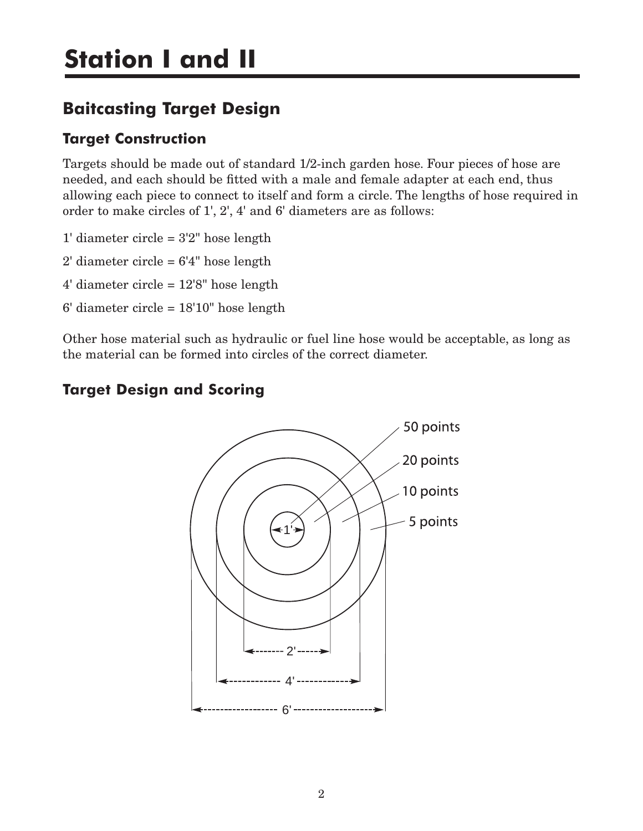# <span id="page-4-0"></span>**Baitcasting Target Design**

### **Target Construction**

Targets should be made out of standard 1/2-inch garden hose. Four pieces of hose are needed, and each should be fitted with a male and female adapter at each end, thus allowing each piece to connect to itself and form a circle. The lengths of hose required in order to make circles of 1', 2', 4' and 6' diameters are as follows:

- 1' diameter circle  $= 3'2''$  hose length
- $2'$  diameter circle =  $6'4''$  hose length
- 4' diameter circle = 12'8" hose length
- 6' diameter circle = 18'10" hose length

Other hose material such as hydraulic or fuel line hose would be acceptable, as long as the material can be formed into circles of the correct diameter.

### **Target Design and Scoring**

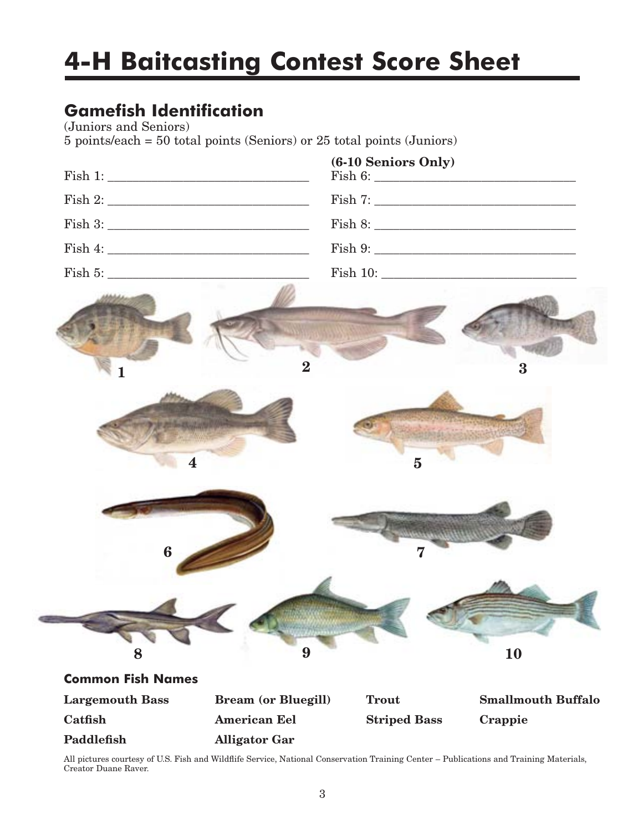# **4-H Baitcasting Contest Score Sheet**

# **Gamefish Identification**

(Juniors and Seniors)

5 points/each = 50 total points (Seniors) or 25 total points (Juniors)

|                          |                            | (6-10 Seniors Only) |                           |
|--------------------------|----------------------------|---------------------|---------------------------|
|                          |                            |                     |                           |
|                          |                            |                     |                           |
|                          |                            |                     |                           |
|                          |                            |                     |                           |
| 1                        | $\overline{\mathbf{2}}$    |                     | 3                         |
| 4                        |                            | $\overline{5}$      |                           |
| $\boldsymbol{6}$         |                            | 7                   |                           |
| 8                        | 9                          |                     | 10                        |
| <b>Common Fish Names</b> |                            |                     |                           |
| <b>Largemouth Bass</b>   | <b>Bream (or Bluegill)</b> | <b>Trout</b>        | <b>Smallmouth Buffalo</b> |
| Catfish                  | <b>American Eel</b>        | <b>Striped Bass</b> | Crappie                   |
| Paddlefish               | <b>Alligator Gar</b>       |                     |                           |

All pictures courtesy of U.S. Fish and Wildflife Service, National Conservation Training Center – Publications and Training Materials, Creator Duane Raver.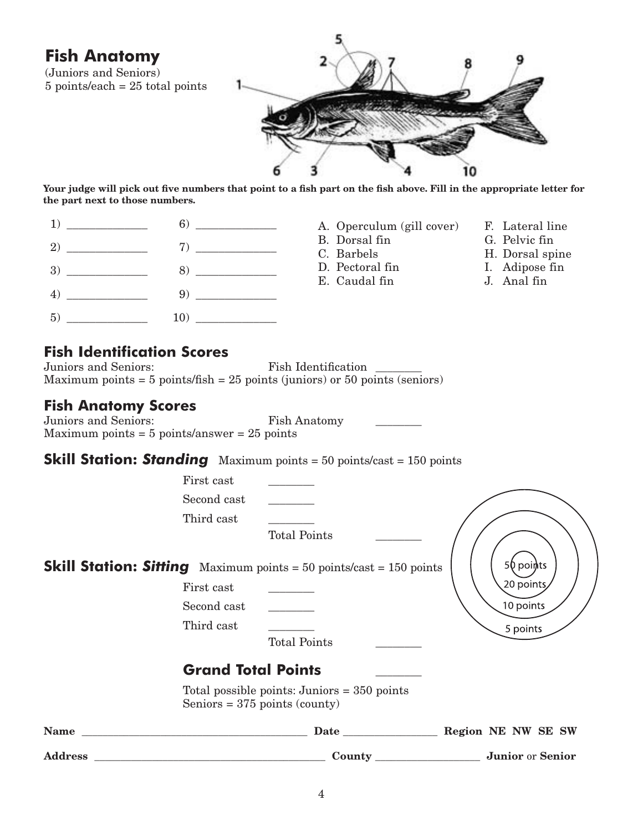<span id="page-6-0"></span>

| <b>Fish Anatomy</b><br>(Juniors and Seniors)<br>$5$ points/each = 25 total points                                                                                                                                                                                                                                                                                                                                                                                                                          |                                         |                     |                                               |    |                                  |
|------------------------------------------------------------------------------------------------------------------------------------------------------------------------------------------------------------------------------------------------------------------------------------------------------------------------------------------------------------------------------------------------------------------------------------------------------------------------------------------------------------|-----------------------------------------|---------------------|-----------------------------------------------|----|----------------------------------|
|                                                                                                                                                                                                                                                                                                                                                                                                                                                                                                            |                                         |                     |                                               | 10 |                                  |
| Your judge will pick out five numbers that point to a fish part on the fish above. Fill in the appropriate letter for<br>the part next to those numbers.                                                                                                                                                                                                                                                                                                                                                   |                                         |                     |                                               |    |                                  |
| $\begin{array}{c c} \hline 1) & \begin{array}{c} \hline \text{---} & \text{---} \end{array} \\ \hline \end{array} \qquad \qquad \begin{array}{c} \hline \text{---} & \text{---} \end{array} \end{array}$                                                                                                                                                                                                                                                                                                   |                                         |                     | A. Operculum (gill cover) F. Lateral line     |    |                                  |
| $2)$ 7)                                                                                                                                                                                                                                                                                                                                                                                                                                                                                                    |                                         |                     | B. Dorsal fin<br>C. Barbels                   |    | G. Pelvic fin<br>H. Dorsal spine |
|                                                                                                                                                                                                                                                                                                                                                                                                                                                                                                            |                                         |                     | D. Pectoral fin                               |    | I. Adipose fin                   |
| $\begin{array}{c c} \hline \end{array} \hspace{2cm} \begin{array}{c} \hline \end{array} \hspace{2cm} \begin{array}{c} \hline \end{array} \hspace{2cm} \begin{array}{c} \hline \end{array} \hspace{2cm} \begin{array}{c} \hline \end{array} \hspace{2cm} \begin{array}{c} \hline \end{array} \hspace{2cm} \begin{array}{c} \hline \end{array} \hspace{2cm} \begin{array}{c} \hline \end{array} \hspace{2cm} \begin{array}{c} \hline \end{array} \hspace{2cm} \begin{array}{c} \hline \end{array} \hspace{2$ |                                         |                     | E. Caudal fin                                 |    | J. Anal fin                      |
|                                                                                                                                                                                                                                                                                                                                                                                                                                                                                                            |                                         |                     |                                               |    |                                  |
| Juniors and Seniors:<br>Maximum points = $5$ points/fish = $25$ points (juniors) or $50$ points (seniors)<br><b>Fish Anatomy Scores</b><br>Juniors and Seniors:<br>Maximum points = $5$ points/answer = $25$ points                                                                                                                                                                                                                                                                                        |                                         | <b>Fish Anatomy</b> | Fish Identification                           |    |                                  |
| <b>Skill Station: Standing</b> Maximum points = $50$ points/cast = $150$ points                                                                                                                                                                                                                                                                                                                                                                                                                            |                                         |                     |                                               |    |                                  |
|                                                                                                                                                                                                                                                                                                                                                                                                                                                                                                            | First cast<br>Second cast<br>Third cast | <b>Total Points</b> |                                               |    |                                  |
| <b>Skill Station: Sitting</b> Maximum points = $50$ points/cast = $150$ points                                                                                                                                                                                                                                                                                                                                                                                                                             | First cast                              |                     |                                               |    | 50 poiņts<br>20 points           |
|                                                                                                                                                                                                                                                                                                                                                                                                                                                                                                            | Second cast                             |                     |                                               |    | 10 points                        |
|                                                                                                                                                                                                                                                                                                                                                                                                                                                                                                            | Third cast                              | <b>Total Points</b> |                                               |    | 5 points                         |
|                                                                                                                                                                                                                                                                                                                                                                                                                                                                                                            | <b>Grand Total Points</b>               |                     |                                               |    |                                  |
|                                                                                                                                                                                                                                                                                                                                                                                                                                                                                                            | Seniors = $375$ points (county)         |                     | Total possible points: Juniors $=$ 350 points |    |                                  |

| <b>Name</b>    | Date   | Region NE NW SE SW |                         |  |
|----------------|--------|--------------------|-------------------------|--|
| <b>Address</b> | County |                    | <b>Junior</b> or Senior |  |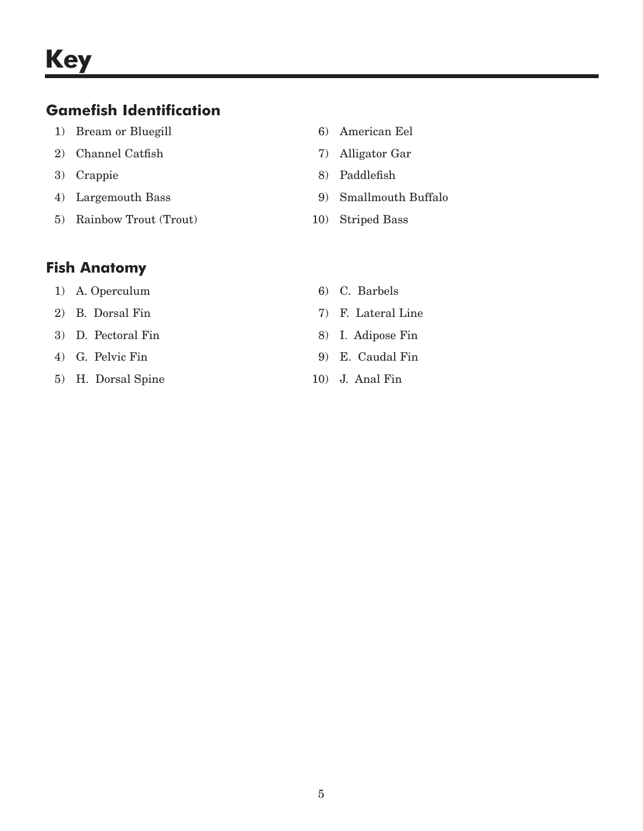### **Gamefish Identification**

- 1) Bream or Bluegill 6) American Eel
- 2) Channel Catfish 7) Alligator Gar
- 
- 
- 5) Rainbow Trout (Trout) 10) Striped Bass
- 
- 
- 3) Crappie 8) Paddlefish
- 4) Largemouth Bass 9) Smallmouth Buffalo
	-

## **Fish Anatomy**

- 1) A. Operculum 6) G. Barbels
- 2) B. Dorsal Fin 7) F. Lateral Line
- 3) D. Pectoral Fin 8) I. Adipose Fin
- 
- 5) H. Dorsal Spine 10) J. Anal Fin
- 
- 
- 
- 4) G. Pelvic Fin 9) E. Caudal Fin
	-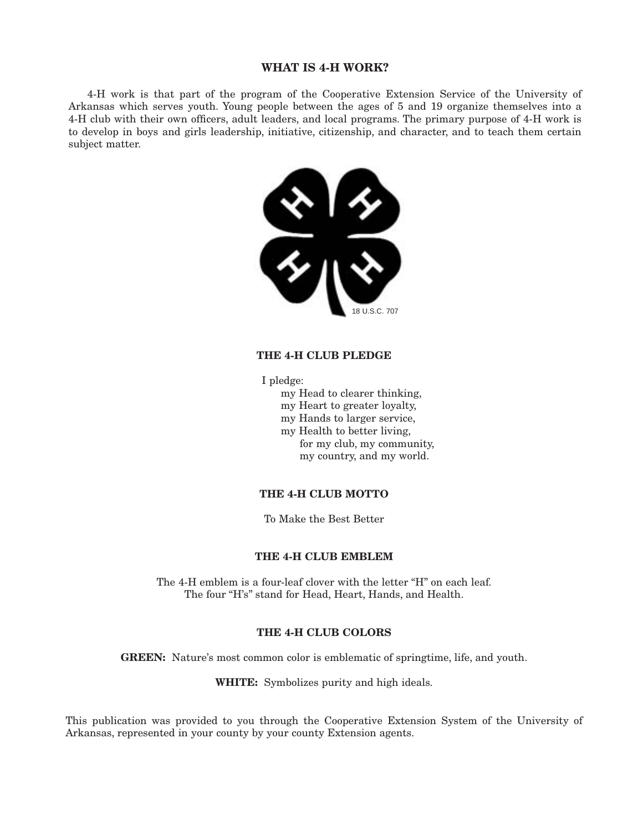### **WHAT IS 4-H WORK?**

4-H work is that part of the program of the Cooperative Extension Service of the University of Arkansas which serves youth. Young people between the ages of 5 and 19 organize themselves into a 4-H club with their own officers, adult leaders, and local programs. The primary purpose of 4-H work is to develop in boys and girls leadership, initiative, citizenship, and character, and to teach them certain subject matter.



### **THE 4-H CLUB PLEDGE**

I pledge:

- my Head to clearer thinking,
- my Heart to greater loyalty,
- my Hands to larger service,
- my Health to better living,
	- for my club, my community, my country, and my world.

### **THE 4-H CLUB MOTTO**

To Make the Best Better

#### **THE 4-H CLUB EMBLEM**

The 4-H emblem is a four-leaf clover with the letter "H" on each leaf. The four "H's" stand for Head, Heart, Hands, and Health.

### **THE 4-H CLUB COLORS**

**GREEN:** Nature's most common color is emblematic of springtime, life, and youth.

**WHITE:** Symbolizes purity and high ideals.

This publication was provided to you through the Cooperative Extension System of the University of Arkansas, represented in your county by your county Extension agents.